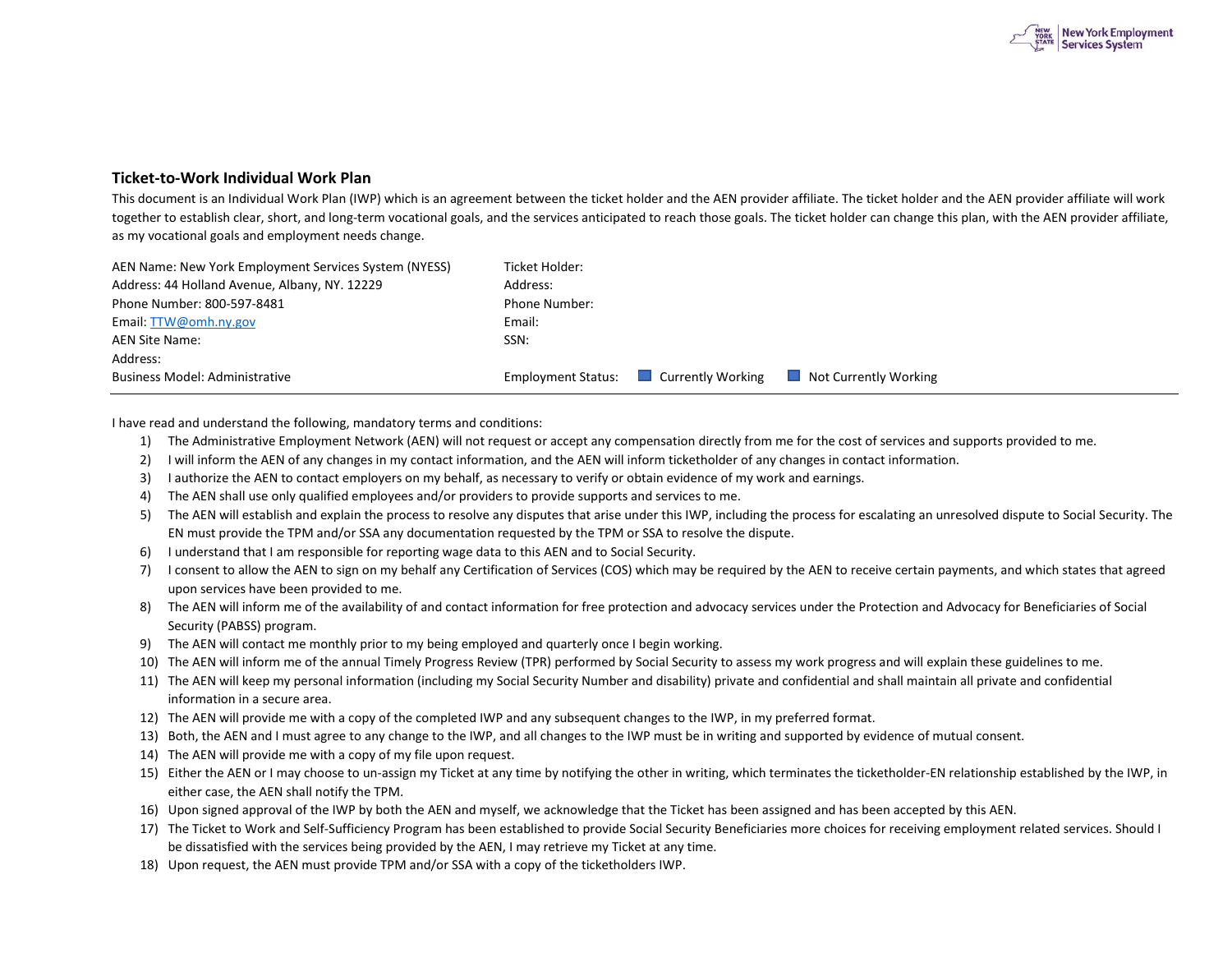

## **Ticket-to-Work Individual Work Plan**

This document is an Individual Work Plan (IWP) which is an agreement between the ticket holder and the AEN provider affiliate. The ticket holder and the AEN provider affiliate will work together to establish clear, short, and long-term vocational goals, and the services anticipated to reach those goals. The ticket holder can change this plan, with the AEN provider affiliate, as my vocational goals and employment needs change.

| AEN Name: New York Employment Services System (NYESS) | Ticket Holder: |                                             |                              |
|-------------------------------------------------------|----------------|---------------------------------------------|------------------------------|
| Address: 44 Holland Avenue, Albany, NY. 12229         | Address:       |                                             |                              |
| Phone Number: 800-597-8481                            | Phone Number:  |                                             |                              |
| Email: TTW@omh.ny.gov                                 | Email:         |                                             |                              |
| AEN Site Name:                                        | SSN:           |                                             |                              |
| Address:                                              |                |                                             |                              |
| <b>Business Model: Administrative</b>                 |                | <b>Employment Status:</b> Currently Working | $\Box$ Not Currently Working |

I have read and understand the following, mandatory terms and conditions:

- 1) The Administrative Employment Network (AEN) will not request or accept any compensation directly from me for the cost of services and supports provided to me.
- 2) I will inform the AEN of any changes in my contact information, and the AEN will inform ticketholder of any changes in contact information.
- 3) I authorize the AEN to contact employers on my behalf, as necessary to verify or obtain evidence of my work and earnings.
- 4) The AEN shall use only qualified employees and/or providers to provide supports and services to me.
- 5) The AEN will establish and explain the process to resolve any disputes that arise under this IWP, including the process for escalating an unresolved dispute to Social Security. The EN must provide the TPM and/or SSA any documentation requested by the TPM or SSA to resolve the dispute.
- 6) I understand that I am responsible for reporting wage data to this AEN and to Social Security.
- 7) I consent to allow the AEN to sign on my behalf any Certification of Services (COS) which may be required by the AEN to receive certain payments, and which states that agreed upon services have been provided to me.
- Security (PABSS) program. 8) The AEN will inform me of the availability of and contact information for free protection and advocacy services under the Protection and Advocacy for Beneficiaries of Social
- 9) The AEN will contact me monthly prior to my being employed and quarterly once I begin working.
- 10) The AEN will inform me of the annual Timely Progress Review (TPR) performed by Social Security to assess my work progress and will explain these guidelines to me.
- 11) The AEN will keep my personal information (including my Social Security Number and disability) private and confidential and shall maintain all private and confidential information in a secure area.
- 12) The AEN will provide me with a copy of the completed IWP and any subsequent changes to the IWP, in my preferred format.
- 13) Both, the AEN and I must agree to any change to the IWP, and all changes to the IWP must be in writing and supported by evidence of mutual consent.
- 14) The AEN will provide me with a copy of my file upon request.
- 15) Either the AEN or I may choose to un-assign my Ticket at any time by notifying the other in writing, which terminates the ticketholder-EN relationship established by the IWP, in
- either case, the AEN shall notify the TPM.<br>16) Upon signed approval of the IWP by both the AEN and myself, we acknowledge that the Ticket has been assigned and has been accepted by this AEN.
- 17) The Ticket to Work and Self-Sufficiency Program has been established to provide Social Security Beneficiaries more choices for receiving employment related services. Should I be dissatisfied with the services being provided by the AEN, I may retrieve my Ticket at any time.
- 18) Upon request, the AEN must provide TPM and/or SSA with a copy of the ticketholders IWP.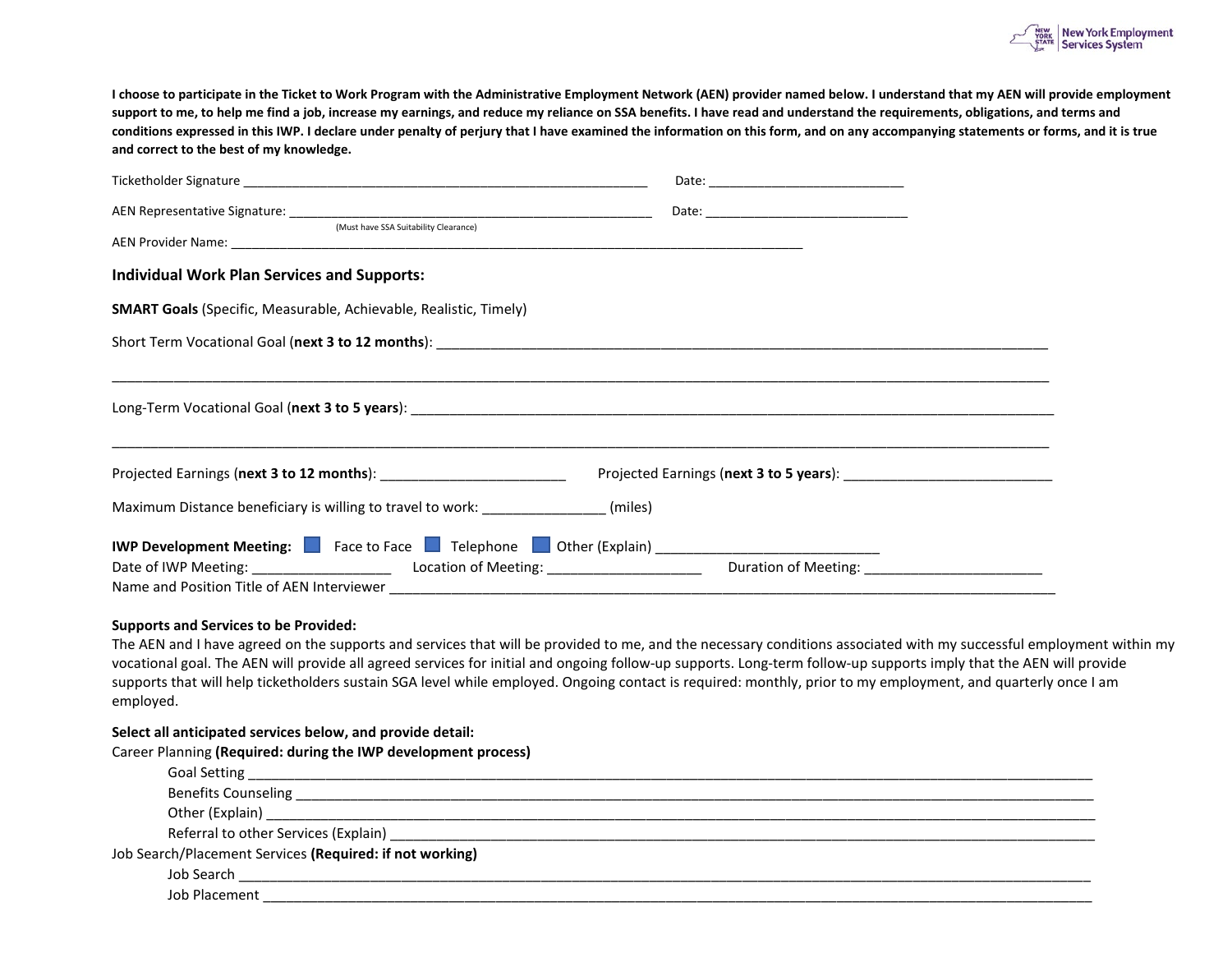

**I choose to participate in the Ticket to Work Program with the Administrative Employment Network (AEN) provider named below. I understand that my AEN will provide employment support to me, to help me find a job, increase my earnings, and reduce my reliance on SSA benefits. I have read and understand the requirements, obligations, and terms and conditions expressed in this IWP. I declare under penalty of perjury that I have examined the information on this form, and on any accompanying statements or forms, and it is true and correct to the best of my knowledge.** 

| <b>Individual Work Plan Services and Supports:</b>                                                  |                                                                                                                                                                                                                               |  |  |  |  |  |  |  |  |
|-----------------------------------------------------------------------------------------------------|-------------------------------------------------------------------------------------------------------------------------------------------------------------------------------------------------------------------------------|--|--|--|--|--|--|--|--|
| <b>SMART Goals</b> (Specific, Measurable, Achievable, Realistic, Timely)                            |                                                                                                                                                                                                                               |  |  |  |  |  |  |  |  |
|                                                                                                     |                                                                                                                                                                                                                               |  |  |  |  |  |  |  |  |
|                                                                                                     |                                                                                                                                                                                                                               |  |  |  |  |  |  |  |  |
|                                                                                                     |                                                                                                                                                                                                                               |  |  |  |  |  |  |  |  |
|                                                                                                     |                                                                                                                                                                                                                               |  |  |  |  |  |  |  |  |
|                                                                                                     |                                                                                                                                                                                                                               |  |  |  |  |  |  |  |  |
| Maximum Distance beneficiary is willing to travel to work: ________________(miles)                  |                                                                                                                                                                                                                               |  |  |  |  |  |  |  |  |
| IWP Development Meeting: Face to Face Figure Telephone Figure (Explain) ___________________________ |                                                                                                                                                                                                                               |  |  |  |  |  |  |  |  |
|                                                                                                     | Date of IWP Meeting: Location of Meeting: Location of Meeting: Location of Meeting: Location of Meeting: Location of Meeting: Location of Meeting: Location of Meeting: Location of Meeting: Location of Meeting: Location of |  |  |  |  |  |  |  |  |
| Name and Position Title of AEN Interviewer                                                          |                                                                                                                                                                                                                               |  |  |  |  |  |  |  |  |

## **Supports and Services to be Provided:**

The AEN and I have agreed on the supports and services that will be provided to me, and the necessary conditions associated with my successful employment within my vocational goal. The AEN will provide all agreed services for initial and ongoing follow-up supports. Long-term follow-up supports imply that the AEN will provide supports that will help ticketholders sustain SGA level while employed. Ongoing contact is required: monthly, prior to my employment, and quarterly once I am employed.

## **Select all anticipated services below, and provide detail:**

Career Planning **(Required: during the IWP development process)** 

| Job Search/Placement Services (Required: if not working)         |
|------------------------------------------------------------------|
|                                                                  |
| <b>Solution</b> Placement <b>Solution Security Security 1996</b> |
|                                                                  |